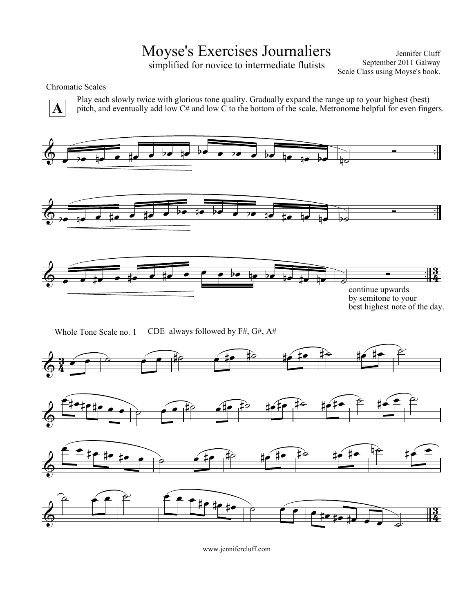# Moyse's Exercises Journaliers

simplified for novice to intermediate flutists

Jennifer Cluff September 2011 Galway Scale Class using Moyse's book.

### Chromatic Scales

**A**

Play each slowly twice with glorious tone quality. Gradually expand the range up to your highest (best) pitch, and eventually add low  $C\#$  and low  $\tilde{C}$  to the bottom of the scale. Metronome helpful for even fingers.



Whole Tone Scale no. 1 CDE always followed by F#, G#, A#

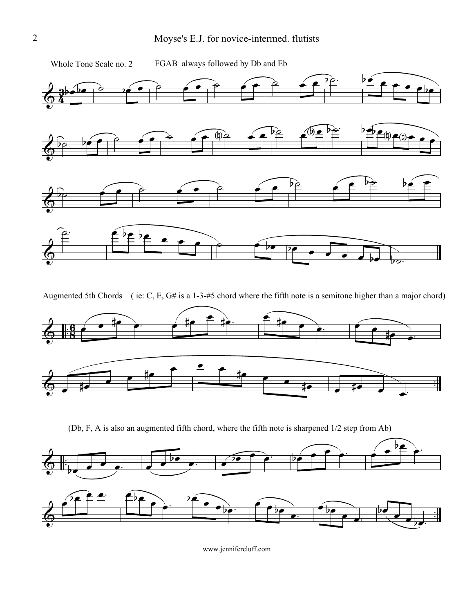

Augmented 5th Chords ( ie: C, E, G# is a 1-3-#5 chord where the fifth note is a semitone higher than a major chord)



(Db, F, A is also an augmented fifth chord, where the fifth note is sharpened 1/2 step from Ab)

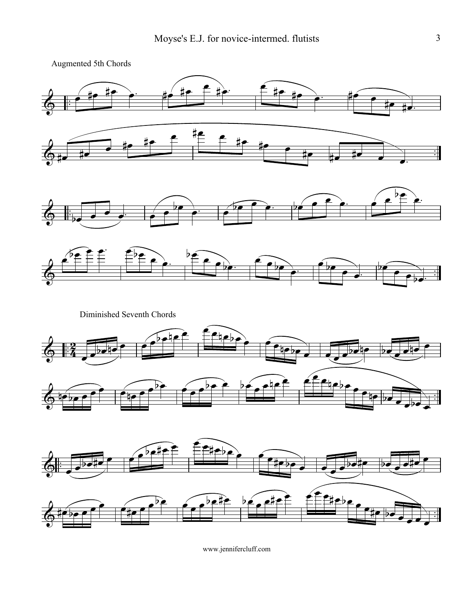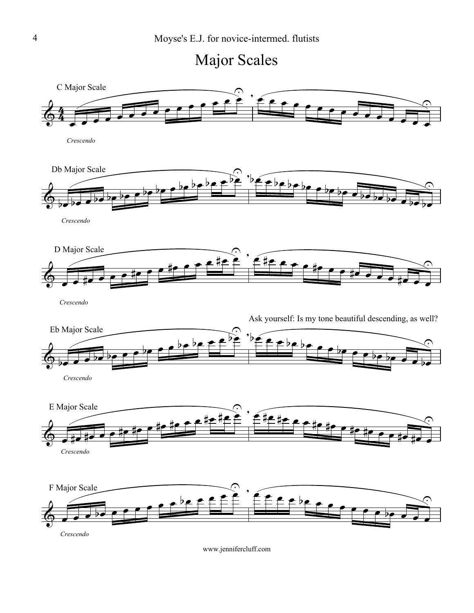

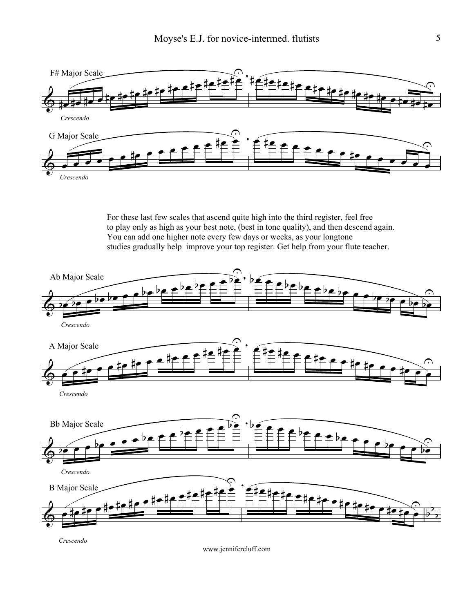

For these last few scales that ascend quite high into the third register, feel free to play only as high as your best note, (best in tone quality), and then descend again. You can add one higher note every few days or weeks, as your longtone studies gradually help improve your top register. Get help from your flute teacher.



*Crescendo*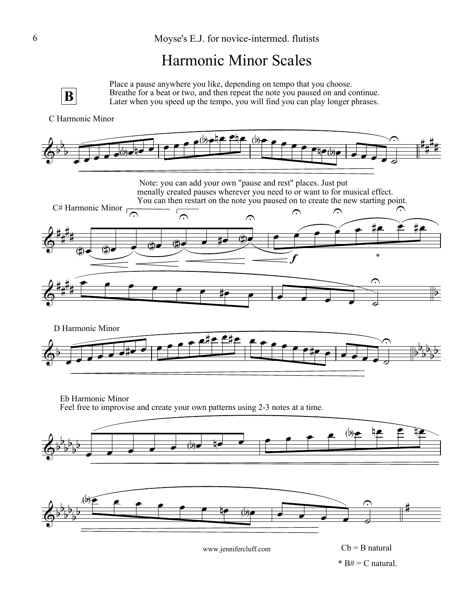## Harmonic Minor Scales



Place a pause anywhere you like, depending on tempo that you choose. Breathe for a beat or two, and then repeat the note you paused on and continue. Later when you speed up the tempo, you will find you can play longer phrases.

#### C Harmonic Minor



Eb Harmonic Minor Feel free to improvise and create your own patterns using 2-3 notes at a time.



 $*$  B# = C natural.  $Cb = B$  natural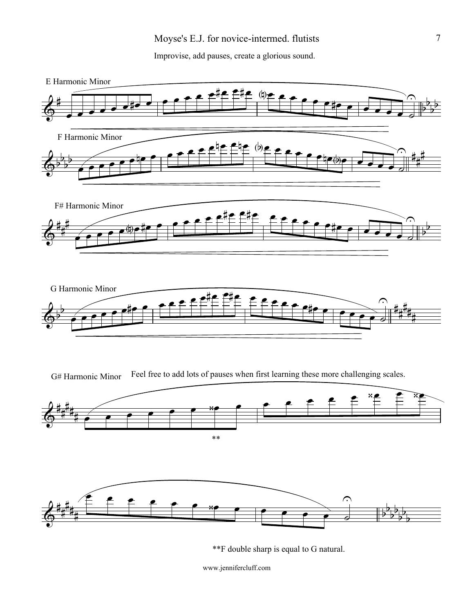Improvise, add pauses, create a glorious sound.



\*\*F double sharp is equal to G natural.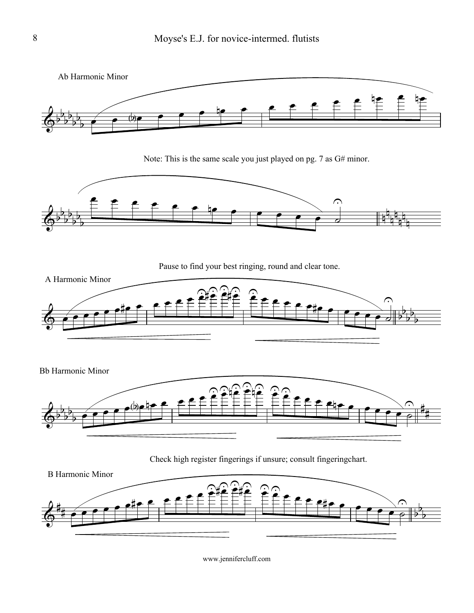

Note: This is the same scale you just played on pg. 7 as G# minor.



Pause to find your best ringing, round and clear tone.



Bb Harmonic Minor



Check high register fingerings if unsure; consult fingeringchart.